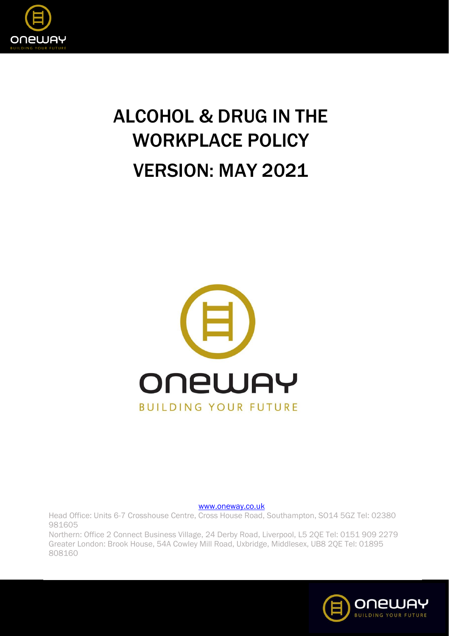

## ALCOHOL & DRUG IN THE WORKPLACE POLICY VERSION: MAY 2021



[www.oneway.co.uk](http://www.oneway.co.uk/)

Head Office: Units 6-7 Crosshouse Centre, Cross House Road, Southampton, SO14 5GZ Tel: 02380 981605 Northern: Office 2 Connect Business Village, 24 Derby Road, Liverpool, L5 2QE Tel: 0151 909 2279

Greater London: Brook House, 54A Cowley Mill Road, Uxbridge, Middlesex, UB8 2QE Tel: 01895 808160

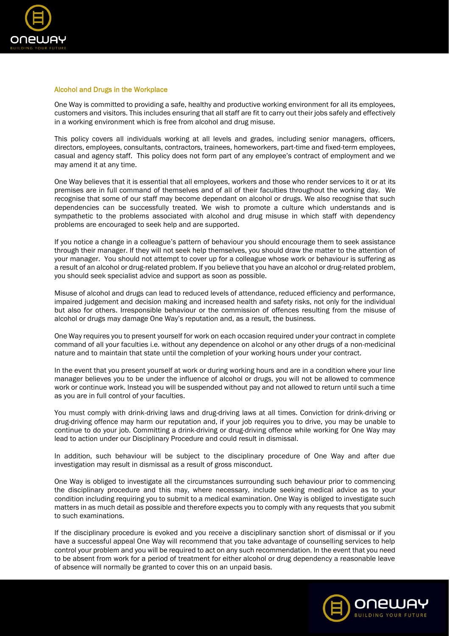

## Alcohol and Drugs in the Workplace

One Way is committed to providing a safe, healthy and productive working environment for all its employees, customers and visitors. This includes ensuring that all staff are fit to carry out their jobs safely and effectively in a working environment which is free from alcohol and drug misuse.

This policy covers all individuals working at all levels and grades, including senior managers, officers, directors, employees, consultants, contractors, trainees, homeworkers, part-time and fixed-term employees, casual and agency staff. This policy does not form part of any employee's contract of employment and we may amend it at any time.

One Way believes that it is essential that all employees, workers and those who render services to it or at its premises are in full command of themselves and of all of their faculties throughout the working day. We recognise that some of our staff may become dependant on alcohol or drugs. We also recognise that such dependencies can be successfully treated. We wish to promote a culture which understands and is sympathetic to the problems associated with alcohol and drug misuse in which staff with dependency problems are encouraged to seek help and are supported.

If you notice a change in a colleague's pattern of behaviour you should encourage them to seek assistance through their manager. If they will not seek help themselves, you should draw the matter to the attention of your manager. You should not attempt to cover up for a colleague whose work or behaviour is suffering as a result of an alcohol or drug-related problem. If you believe that you have an alcohol or drug-related problem, you should seek specialist advice and support as soon as possible.

Misuse of alcohol and drugs can lead to reduced levels of attendance, reduced efficiency and performance, impaired judgement and decision making and increased health and safety risks, not only for the individual but also for others. Irresponsible behaviour or the commission of offences resulting from the misuse of alcohol or drugs may damage One Way's reputation and, as a result, the business.

One Way requires you to present yourself for work on each occasion required under your contract in complete command of all your faculties i.e. without any dependence on alcohol or any other drugs of a non-medicinal nature and to maintain that state until the completion of your working hours under your contract.

In the event that you present yourself at work or during working hours and are in a condition where your line manager believes you to be under the influence of alcohol or drugs, you will not be allowed to commence work or continue work. Instead you will be suspended without pay and not allowed to return until such a time as you are in full control of your faculties.

You must comply with drink-driving laws and drug-driving laws at all times. Conviction for drink-driving or drug-driving offence may harm our reputation and, if your job requires you to drive, you may be unable to continue to do your job. Committing a drink-driving or drug-driving offence while working for One Way may lead to action under our Disciplinary Procedure and could result in dismissal.

In addition, such behaviour will be subject to the disciplinary procedure of One Way and after due investigation may result in dismissal as a result of gross misconduct.

One Way is obliged to investigate all the circumstances surrounding such behaviour prior to commencing the disciplinary procedure and this may, where necessary, include seeking medical advice as to your condition including requiring you to submit to a medical examination. One Way is obliged to investigate such matters in as much detail as possible and therefore expects you to comply with any requests that you submit to such examinations.

If the disciplinary procedure is evoked and you receive a disciplinary sanction short of dismissal or if you have a successful appeal One Way will recommend that you take advantage of counselling services to help control your problem and you will be required to act on any such recommendation. In the event that you need to be absent from work for a period of treatment for either alcohol or drug dependency a reasonable leave of absence will normally be granted to cover this on an unpaid basis.